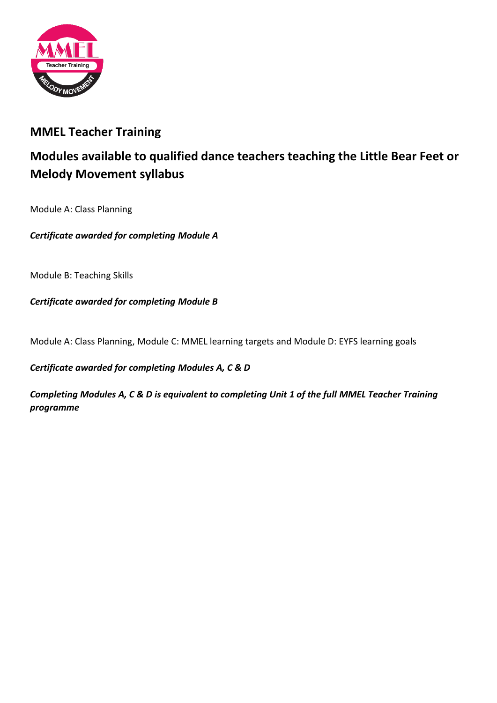

### **MMEL Teacher Training**

# **Modules available to qualified dance teachers teaching the Little Bear Feet or Melody Movement syllabus**

Module A: Class Planning

*Certificate awarded for completing Module A*

Module B: Teaching Skills

*Certificate awarded for completing Module B*

Module A: Class Planning, Module C: MMEL learning targets and Module D: EYFS learning goals

*Certificate awarded for completing Modules A, C & D*

*Completing Modules A, C & D is equivalent to completing Unit 1 of the full MMEL Teacher Training programme*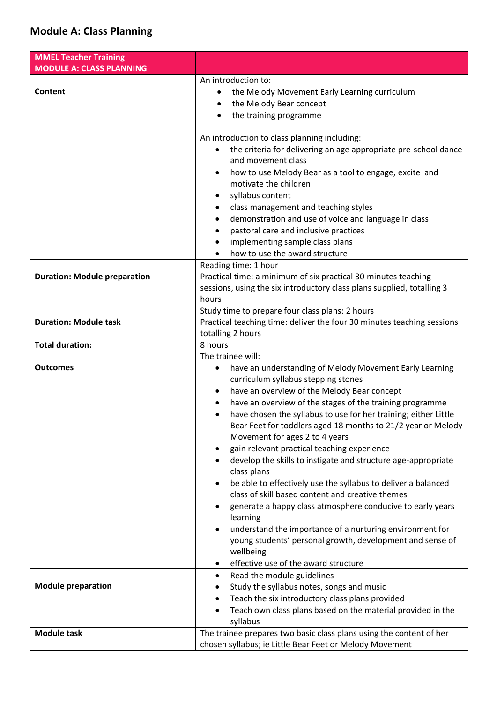#### **Module A: Class Planning**

| <b>MMEL Teacher Training</b>        |                                                                                                                                                                                                                                                                                                                                                                                                                                                                                                                                                                                                                                                                                                                                                                                                                                                                                                                                        |
|-------------------------------------|----------------------------------------------------------------------------------------------------------------------------------------------------------------------------------------------------------------------------------------------------------------------------------------------------------------------------------------------------------------------------------------------------------------------------------------------------------------------------------------------------------------------------------------------------------------------------------------------------------------------------------------------------------------------------------------------------------------------------------------------------------------------------------------------------------------------------------------------------------------------------------------------------------------------------------------|
| <b>MODULE A: CLASS PLANNING</b>     |                                                                                                                                                                                                                                                                                                                                                                                                                                                                                                                                                                                                                                                                                                                                                                                                                                                                                                                                        |
| Content                             | An introduction to:<br>the Melody Movement Early Learning curriculum<br>$\bullet$<br>the Melody Bear concept<br>٠<br>the training programme<br>$\bullet$                                                                                                                                                                                                                                                                                                                                                                                                                                                                                                                                                                                                                                                                                                                                                                               |
|                                     | An introduction to class planning including:<br>the criteria for delivering an age appropriate pre-school dance<br>and movement class<br>how to use Melody Bear as a tool to engage, excite and<br>$\bullet$<br>motivate the children<br>syllabus content<br>٠<br>class management and teaching styles<br>$\bullet$<br>demonstration and use of voice and language in class<br>٠<br>pastoral care and inclusive practices<br>$\bullet$<br>implementing sample class plans<br>$\bullet$<br>how to use the award structure                                                                                                                                                                                                                                                                                                                                                                                                               |
| <b>Duration: Module preparation</b> | Reading time: 1 hour<br>Practical time: a minimum of six practical 30 minutes teaching<br>sessions, using the six introductory class plans supplied, totalling 3<br>hours                                                                                                                                                                                                                                                                                                                                                                                                                                                                                                                                                                                                                                                                                                                                                              |
| <b>Duration: Module task</b>        | Study time to prepare four class plans: 2 hours<br>Practical teaching time: deliver the four 30 minutes teaching sessions<br>totalling 2 hours                                                                                                                                                                                                                                                                                                                                                                                                                                                                                                                                                                                                                                                                                                                                                                                         |
| <b>Total duration:</b>              | 8 hours                                                                                                                                                                                                                                                                                                                                                                                                                                                                                                                                                                                                                                                                                                                                                                                                                                                                                                                                |
| <b>Outcomes</b>                     | The trainee will:<br>have an understanding of Melody Movement Early Learning<br>٠<br>curriculum syllabus stepping stones<br>have an overview of the Melody Bear concept<br>have an overview of the stages of the training programme<br>$\bullet$<br>have chosen the syllabus to use for her training; either Little<br>٠<br>Bear Feet for toddlers aged 18 months to 21/2 year or Melody<br>Movement for ages 2 to 4 years<br>gain relevant practical teaching experience<br>develop the skills to instigate and structure age-appropriate<br>class plans<br>be able to effectively use the syllabus to deliver a balanced<br>class of skill based content and creative themes<br>generate a happy class atmosphere conducive to early years<br>learning<br>understand the importance of a nurturing environment for<br>young students' personal growth, development and sense of<br>wellbeing<br>effective use of the award structure |
| <b>Module preparation</b>           | Read the module guidelines<br>$\bullet$<br>Study the syllabus notes, songs and music<br>Teach the six introductory class plans provided<br>Teach own class plans based on the material provided in the                                                                                                                                                                                                                                                                                                                                                                                                                                                                                                                                                                                                                                                                                                                                 |
|                                     | syllabus                                                                                                                                                                                                                                                                                                                                                                                                                                                                                                                                                                                                                                                                                                                                                                                                                                                                                                                               |
| <b>Module task</b>                  | The trainee prepares two basic class plans using the content of her<br>chosen syllabus; ie Little Bear Feet or Melody Movement                                                                                                                                                                                                                                                                                                                                                                                                                                                                                                                                                                                                                                                                                                                                                                                                         |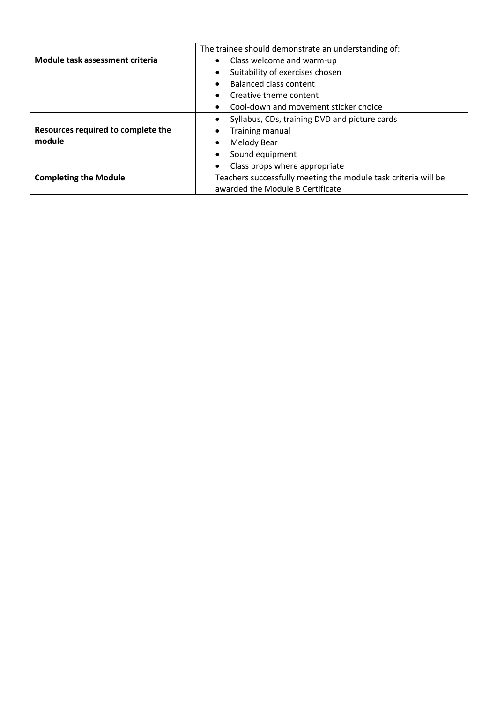|                                    | The trainee should demonstrate an understanding of:            |
|------------------------------------|----------------------------------------------------------------|
| Module task assessment criteria    | Class welcome and warm-up                                      |
|                                    | Suitability of exercises chosen                                |
|                                    | Balanced class content                                         |
|                                    | Creative theme content                                         |
|                                    | Cool-down and movement sticker choice                          |
|                                    | Syllabus, CDs, training DVD and picture cards                  |
| Resources required to complete the | <b>Training manual</b>                                         |
| module                             | <b>Melody Bear</b>                                             |
|                                    | Sound equipment                                                |
|                                    | Class props where appropriate                                  |
| <b>Completing the Module</b>       | Teachers successfully meeting the module task criteria will be |
|                                    | awarded the Module B Certificate                               |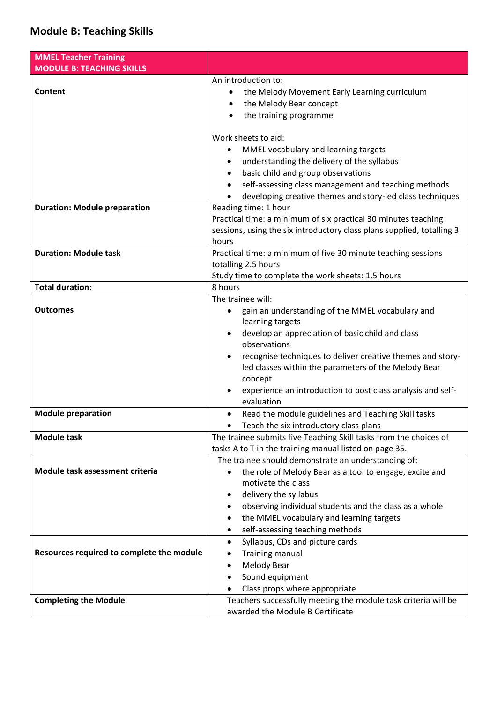## **Module B: Teaching Skills**

| <b>MMEL Teacher Training</b>              |                                                                                            |
|-------------------------------------------|--------------------------------------------------------------------------------------------|
| <b>MODULE B: TEACHING SKILLS</b>          |                                                                                            |
| Content                                   | An introduction to:                                                                        |
|                                           | the Melody Movement Early Learning curriculum<br>٠<br>the Melody Bear concept              |
|                                           | ٠<br>$\bullet$                                                                             |
|                                           | the training programme                                                                     |
|                                           | Work sheets to aid:                                                                        |
|                                           | MMEL vocabulary and learning targets<br>٠                                                  |
|                                           | understanding the delivery of the syllabus<br>$\bullet$                                    |
|                                           | basic child and group observations<br>$\bullet$                                            |
|                                           | self-assessing class management and teaching methods                                       |
|                                           | developing creative themes and story-led class techniques                                  |
| <b>Duration: Module preparation</b>       | Reading time: 1 hour                                                                       |
|                                           | Practical time: a minimum of six practical 30 minutes teaching                             |
|                                           | sessions, using the six introductory class plans supplied, totalling 3                     |
|                                           | hours                                                                                      |
| <b>Duration: Module task</b>              | Practical time: a minimum of five 30 minute teaching sessions                              |
|                                           | totalling 2.5 hours                                                                        |
|                                           | Study time to complete the work sheets: 1.5 hours                                          |
| <b>Total duration:</b>                    | 8 hours<br>The trainee will:                                                               |
| <b>Outcomes</b>                           | gain an understanding of the MMEL vocabulary and<br>٠                                      |
|                                           | learning targets                                                                           |
|                                           | develop an appreciation of basic child and class                                           |
|                                           | observations                                                                               |
|                                           | recognise techniques to deliver creative themes and story-<br>$\bullet$                    |
|                                           | led classes within the parameters of the Melody Bear                                       |
|                                           | concept                                                                                    |
|                                           | experience an introduction to post class analysis and self-                                |
|                                           | evaluation                                                                                 |
| <b>Module preparation</b>                 | Read the module guidelines and Teaching Skill tasks<br>٠                                   |
|                                           | Teach the six introductory class plans                                                     |
| <b>Module task</b>                        | The trainee submits five Teaching Skill tasks from the choices of                          |
|                                           | tasks A to T in the training manual listed on page 35.                                     |
| Module task assessment criteria           | The trainee should demonstrate an understanding of:                                        |
|                                           | the role of Melody Bear as a tool to engage, excite and<br>$\bullet$<br>motivate the class |
|                                           | delivery the syllabus                                                                      |
|                                           | observing individual students and the class as a whole<br>٠                                |
|                                           | the MMEL vocabulary and learning targets<br>٠                                              |
|                                           | self-assessing teaching methods                                                            |
|                                           | Syllabus, CDs and picture cards<br>$\bullet$                                               |
| Resources required to complete the module | <b>Training manual</b>                                                                     |
|                                           | Melody Bear<br>٠                                                                           |
|                                           | Sound equipment<br>$\bullet$                                                               |
|                                           | Class props where appropriate                                                              |
| <b>Completing the Module</b>              | Teachers successfully meeting the module task criteria will be                             |
|                                           | awarded the Module B Certificate                                                           |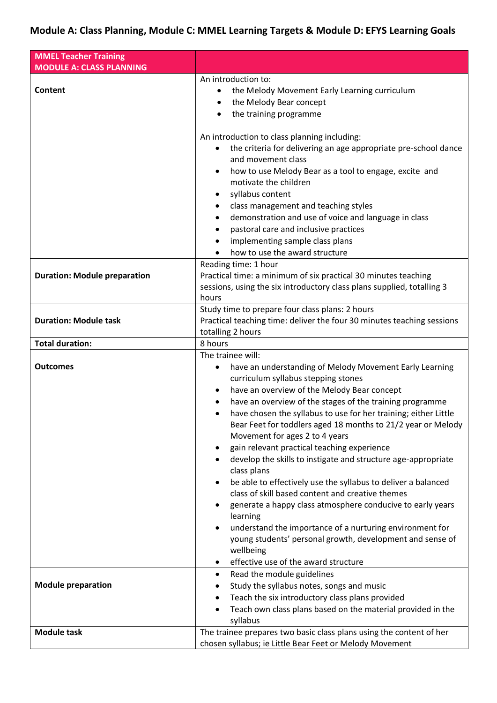## **Module A: Class Planning, Module C: MMEL Learning Targets & Module D: EFYS Learning Goals**

| <b>MMEL Teacher Training</b>        |                                                                                                                                              |
|-------------------------------------|----------------------------------------------------------------------------------------------------------------------------------------------|
| <b>MODULE A: CLASS PLANNING</b>     |                                                                                                                                              |
| <b>Content</b>                      | An introduction to:                                                                                                                          |
|                                     | the Melody Movement Early Learning curriculum<br>$\bullet$<br>the Melody Bear concept                                                        |
|                                     | $\bullet$                                                                                                                                    |
|                                     | the training programme<br>$\bullet$                                                                                                          |
|                                     | An introduction to class planning including:                                                                                                 |
|                                     | the criteria for delivering an age appropriate pre-school dance                                                                              |
|                                     | and movement class                                                                                                                           |
|                                     | how to use Melody Bear as a tool to engage, excite and<br>٠                                                                                  |
|                                     | motivate the children                                                                                                                        |
|                                     | syllabus content                                                                                                                             |
|                                     | class management and teaching styles<br>٠                                                                                                    |
|                                     | demonstration and use of voice and language in class<br>$\bullet$                                                                            |
|                                     | pastoral care and inclusive practices<br>٠                                                                                                   |
|                                     | implementing sample class plans<br>$\bullet$                                                                                                 |
|                                     | how to use the award structure                                                                                                               |
|                                     | Reading time: 1 hour                                                                                                                         |
| <b>Duration: Module preparation</b> | Practical time: a minimum of six practical 30 minutes teaching                                                                               |
|                                     | sessions, using the six introductory class plans supplied, totalling 3                                                                       |
|                                     | hours                                                                                                                                        |
|                                     | Study time to prepare four class plans: 2 hours                                                                                              |
| <b>Duration: Module task</b>        | Practical teaching time: deliver the four 30 minutes teaching sessions                                                                       |
|                                     | totalling 2 hours                                                                                                                            |
| <b>Total duration:</b>              | 8 hours                                                                                                                                      |
|                                     | The trainee will:                                                                                                                            |
| <b>Outcomes</b>                     | have an understanding of Melody Movement Early Learning<br>٠                                                                                 |
|                                     | curriculum syllabus stepping stones                                                                                                          |
|                                     | have an overview of the Melody Bear concept                                                                                                  |
|                                     | have an overview of the stages of the training programme                                                                                     |
|                                     | have chosen the syllabus to use for her training; either Little<br>$\bullet$<br>Bear Feet for toddlers aged 18 months to 21/2 year or Melody |
|                                     | Movement for ages 2 to 4 years                                                                                                               |
|                                     | gain relevant practical teaching experience                                                                                                  |
|                                     | develop the skills to instigate and structure age-appropriate                                                                                |
|                                     | class plans                                                                                                                                  |
|                                     | be able to effectively use the syllabus to deliver a balanced                                                                                |
|                                     | class of skill based content and creative themes                                                                                             |
|                                     | generate a happy class atmosphere conducive to early years                                                                                   |
|                                     | learning                                                                                                                                     |
|                                     | understand the importance of a nurturing environment for                                                                                     |
|                                     | young students' personal growth, development and sense of                                                                                    |
|                                     | wellbeing                                                                                                                                    |
|                                     | effective use of the award structure                                                                                                         |
|                                     | Read the module guidelines<br>٠                                                                                                              |
| <b>Module preparation</b>           | Study the syllabus notes, songs and music                                                                                                    |
|                                     | Teach the six introductory class plans provided                                                                                              |
|                                     | Teach own class plans based on the material provided in the<br>$\bullet$                                                                     |
|                                     | syllabus                                                                                                                                     |
| <b>Module task</b>                  | The trainee prepares two basic class plans using the content of her                                                                          |
|                                     | chosen syllabus; ie Little Bear Feet or Melody Movement                                                                                      |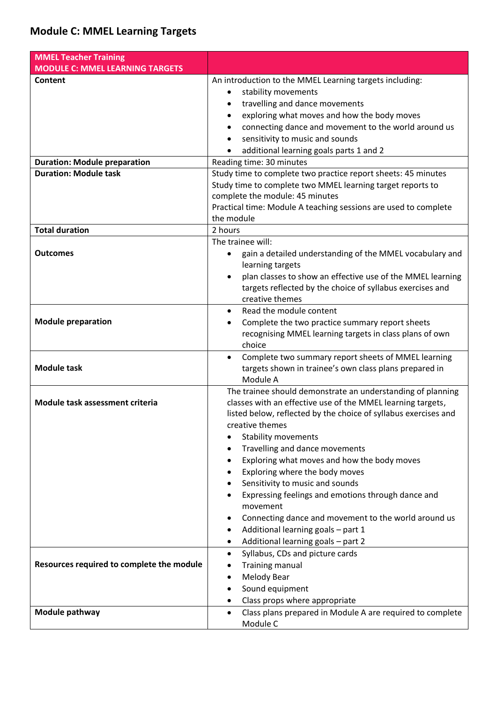| <b>MMEL Teacher Training</b>              |                                                                                                                                                                                                                                                 |
|-------------------------------------------|-------------------------------------------------------------------------------------------------------------------------------------------------------------------------------------------------------------------------------------------------|
| <b>MODULE C: MMEL LEARNING TARGETS</b>    |                                                                                                                                                                                                                                                 |
| Content                                   | An introduction to the MMEL Learning targets including:<br>stability movements<br>travelling and dance movements<br>exploring what moves and how the body moves<br>$\bullet$                                                                    |
|                                           | connecting dance and movement to the world around us<br>$\bullet$<br>sensitivity to music and sounds<br>additional learning goals parts 1 and 2                                                                                                 |
| <b>Duration: Module preparation</b>       | Reading time: 30 minutes                                                                                                                                                                                                                        |
| <b>Duration: Module task</b>              | Study time to complete two practice report sheets: 45 minutes<br>Study time to complete two MMEL learning target reports to<br>complete the module: 45 minutes<br>Practical time: Module A teaching sessions are used to complete<br>the module |
| <b>Total duration</b>                     | 2 hours                                                                                                                                                                                                                                         |
| <b>Outcomes</b>                           | The trainee will:<br>gain a detailed understanding of the MMEL vocabulary and<br>learning targets<br>plan classes to show an effective use of the MMEL learning<br>targets reflected by the choice of syllabus exercises and<br>creative themes |
| <b>Module preparation</b>                 | Read the module content<br>$\bullet$<br>Complete the two practice summary report sheets<br>recognising MMEL learning targets in class plans of own<br>choice                                                                                    |
| <b>Module task</b>                        | Complete two summary report sheets of MMEL learning<br>$\bullet$<br>targets shown in trainee's own class plans prepared in<br>Module A                                                                                                          |
| Module task assessment criteria           | The trainee should demonstrate an understanding of planning<br>classes with an effective use of the MMEL learning targets,<br>listed below, reflected by the choice of syllabus exercises and<br>creative themes<br><b>Stability movements</b>  |
|                                           | Travelling and dance movements<br>٠                                                                                                                                                                                                             |
|                                           | Exploring what moves and how the body moves                                                                                                                                                                                                     |
|                                           | Exploring where the body moves                                                                                                                                                                                                                  |
|                                           | Sensitivity to music and sounds<br>Expressing feelings and emotions through dance and                                                                                                                                                           |
|                                           | movement                                                                                                                                                                                                                                        |
|                                           | Connecting dance and movement to the world around us                                                                                                                                                                                            |
|                                           | Additional learning goals - part 1                                                                                                                                                                                                              |
|                                           | Additional learning goals - part 2<br>٠<br>Syllabus, CDs and picture cards<br>$\bullet$                                                                                                                                                         |
| Resources required to complete the module | <b>Training manual</b>                                                                                                                                                                                                                          |
|                                           | <b>Melody Bear</b><br>٠                                                                                                                                                                                                                         |
|                                           | Sound equipment<br>$\bullet$                                                                                                                                                                                                                    |
|                                           | Class props where appropriate                                                                                                                                                                                                                   |
| Module pathway                            | Class plans prepared in Module A are required to complete<br>$\bullet$<br>Module C                                                                                                                                                              |